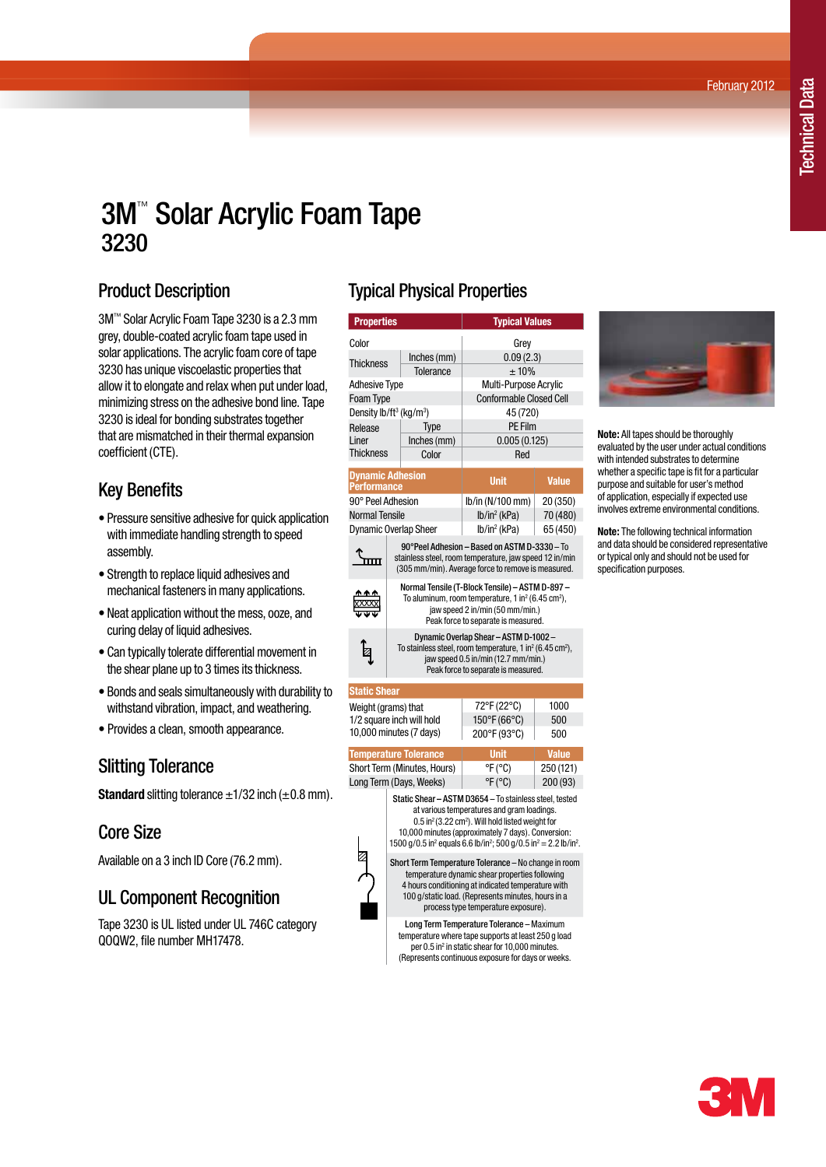February 2012

# 3M™ Solar Acrylic Foam Tape 3230

### Product Description

3M™ Solar Acrylic Foam Tape 3230 is a 2.3 mm grey, double-coated acrylic foam tape used in solar applications. The acrylic foam core of tape 3230 has unique viscoelastic properties that allow it to elongate and relax when put under load, minimizing stress on the adhesive bond line. Tape 3230 is ideal for bonding substrates together that are mismatched in their thermal expansion coefficient (CTE).

### Key Benefits

- Pressure sensitive adhesive for quick application with immediate handling strength to speed assembly.
- Strength to replace liquid adhesives and mechanical fasteners in many applications.
- Neat application without the mess, ooze, and curing delay of liquid adhesives.
- Can typically tolerate differential movement in the shear plane up to 3 times its thickness.
- Bonds and seals simultaneously with durability to withstand vibration, impact, and weathering.
- Provides a clean, smooth appearance.

### Slitting Tolerance

**Standard** slitting tolerance  $\pm$ 1/32 inch ( $\pm$ 0.8 mm).

### Core Size

Available on a 3 inch ID Core (76.2 mm).

### UL Component Recognition

Tape 3230 is UL listed under UL 746C category QOQW2, file number MH17478.

## Typical Physical Properties

| <b>Properties</b>                               |                                                                                                                                                                                                        |             | <b>Typical Values</b>          |              |  |  |  |  |
|-------------------------------------------------|--------------------------------------------------------------------------------------------------------------------------------------------------------------------------------------------------------|-------------|--------------------------------|--------------|--|--|--|--|
| Color                                           |                                                                                                                                                                                                        |             | Grey                           |              |  |  |  |  |
| <b>Thickness</b>                                |                                                                                                                                                                                                        | Inches (mm) | 0.09(2.3)                      |              |  |  |  |  |
|                                                 |                                                                                                                                                                                                        | Tolerance   | ±10%                           |              |  |  |  |  |
| <b>Adhesive Type</b>                            |                                                                                                                                                                                                        |             | Multi-Purpose Acrylic          |              |  |  |  |  |
| Foam Type                                       |                                                                                                                                                                                                        |             | <b>Conformable Closed Cell</b> |              |  |  |  |  |
| Density lb/ft <sup>3</sup> (kg/m <sup>3</sup> ) |                                                                                                                                                                                                        |             | 45 (720)                       |              |  |  |  |  |
| Release<br>Liner                                |                                                                                                                                                                                                        | Type        | <b>PE Film</b>                 |              |  |  |  |  |
|                                                 |                                                                                                                                                                                                        | Inches (mm) | 0.005(0.125)                   |              |  |  |  |  |
| <b>Thickness</b>                                |                                                                                                                                                                                                        | Color       | Red                            |              |  |  |  |  |
|                                                 |                                                                                                                                                                                                        |             |                                |              |  |  |  |  |
| <b>Dynamic Adhesion</b><br><b>Performance</b>   |                                                                                                                                                                                                        |             | <b>Unit</b>                    | <b>Value</b> |  |  |  |  |
| 90° Peel Adhesion                               |                                                                                                                                                                                                        |             | lb/in (N/100 mm)               | 20 (350)     |  |  |  |  |
| <b>Normal Tensile</b>                           |                                                                                                                                                                                                        |             | $lb/in^2$ (kPa)                | 70 (480)     |  |  |  |  |
| <b>Dynamic Overlap Sheer</b>                    |                                                                                                                                                                                                        |             | lb/in <sup>2</sup> (kPa)       | 65 (450)     |  |  |  |  |
|                                                 | 90°Peel Adhesion - Based on ASTM D-3330 - To<br>stainless steel, room temperature, jaw speed 12 in/min<br>(305 mm/min). Average force to remove is measured.                                           |             |                                |              |  |  |  |  |
|                                                 | Normal Tensile (T-Block Tensile) - ASTM D-897 -<br>To aluminum, room temperature, 1 in <sup>2</sup> (6.45 cm <sup>2</sup> ),<br>jaw speed 2 in/min (50 mm/min.)<br>Peak force to separate is measured. |             |                                |              |  |  |  |  |
| Ø                                               | Dynamic Overlap Shear - ASTM D-1002 -<br>To stainless steel, room temperature, 1 in $^2$ (6.45 cm <sup>2</sup> ),<br>jaw speed 0.5 in/min (12.7 mm/min.)<br>Peak force to separate is measured.        |             |                                |              |  |  |  |  |
| <b>Static Shear</b>                             |                                                                                                                                                                                                        |             |                                |              |  |  |  |  |
| Weight (grams) that                             |                                                                                                                                                                                                        |             | 72°F (22°C)                    | 1000         |  |  |  |  |
| 1/2 square inch will hold                       |                                                                                                                                                                                                        |             | 150°F (66°C)                   | 500          |  |  |  |  |
| . <i>.</i> –                                    |                                                                                                                                                                                                        |             |                                |              |  |  |  |  |



Static Shear – ASTM D3654 – To stainless steel, tested at various temperatures and gram loadings.  $0.5$  in<sup>2</sup> (3.22 cm<sup>2</sup>). Will hold listed weight for 10,000 minutes (approximately 7 days). Conversion: 1500 g/0.5 in<sup>2</sup> equals 6.6 lb/in<sup>2</sup>; 500 g/0.5 in<sup>2</sup> = 2.2 lb/in<sup>2</sup>.

Short Term Temperature Tolerance – No change in room temperature dynamic shear properties following 4 hours conditioning at indicated temperature with 100 g/static load. (Represents minutes, hours in a process type temperature exposure).

Long Term Temperature Tolerance – Maximum temperature where tape supports at least 250 g load per 0.5 in<sup>2</sup> in static shear for 10,000 minutes. (Represents continuous exposure for days or weeks.



**Note:** All tapes should be thoroughly evaluated by the user under actual conditions with intended substrates to determine whether a specific tape is fit for a particular purpose and suitable for user's method of application, especially if expected use involves extreme environmental conditions.

**Note:** The following technical information and data should be considered representative or typical only and should not be used for specification purposes.